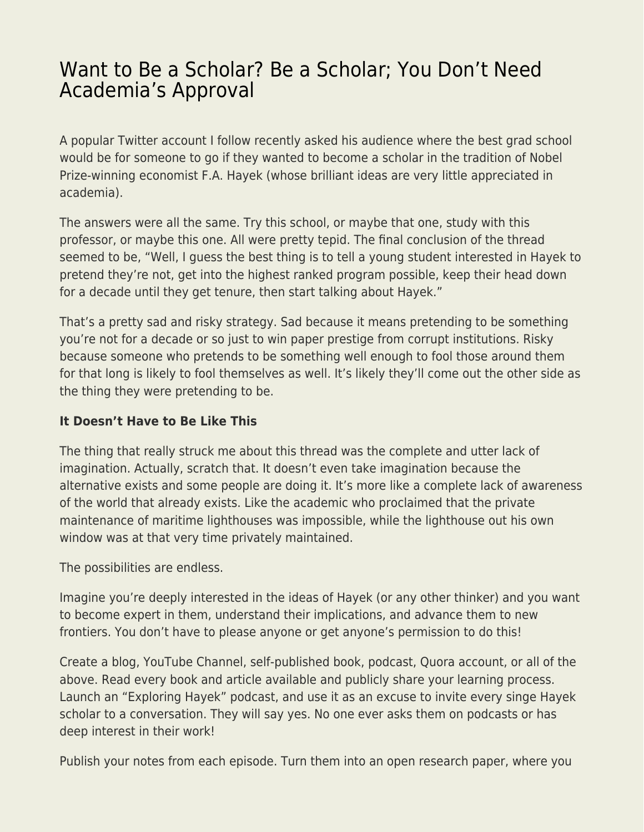## [Want to Be a Scholar? Be a Scholar; You Don't Need](https://everything-voluntary.com/want-to-be-a-scholar-be-a-scholar-you-dont-need-academias-approval) [Academia's Approval](https://everything-voluntary.com/want-to-be-a-scholar-be-a-scholar-you-dont-need-academias-approval)

A popular Twitter account I follow recently asked his audience where the best grad school would be for someone to go if they wanted to become a scholar in the tradition of Nobel Prize-winning economist F.A. Hayek (whose brilliant ideas are very little appreciated in academia).

The answers were all the same. Try this school, or maybe that one, study with this professor, or maybe this one. All were pretty tepid. The final conclusion of the thread seemed to be, "Well, I guess the best thing is to tell a young student interested in Hayek to pretend they're not, get into the highest ranked program possible, keep their head down for a decade until they get tenure, then start talking about Hayek."

That's a pretty sad and risky strategy. Sad because it means pretending to be something you're not for a decade or so just to win paper prestige from corrupt institutions. Risky because someone who pretends to be something well enough to fool those around them for that long is likely to fool themselves as well. It's likely they'll come out the other side as the thing they were pretending to be.

## **It Doesn't Have to Be Like This**

The thing that really struck me about this thread was the complete and utter lack of imagination. Actually, scratch that. It doesn't even take imagination because the alternative exists and some people are doing it. It's more like a complete lack of awareness of the world that already exists. Like the academic who proclaimed that the private maintenance of maritime lighthouses was impossible, while the lighthouse out his own window was at that very time privately maintained.

The possibilities are endless.

Imagine you're deeply interested in the ideas of Hayek (or any other thinker) and you want to become expert in them, understand their implications, and advance them to new frontiers. You don't have to please anyone or get anyone's permission to do this!

Create a blog, YouTube Channel, self-published book, podcast, Quora account, or all of the above. Read every book and article available and publicly share your learning process. Launch an "Exploring Hayek" podcast, and use it as an excuse to invite every singe Hayek scholar to a conversation. They will say yes. No one ever asks them on podcasts or has deep interest in their work!

Publish your notes from each episode. Turn them into an open research paper, where you